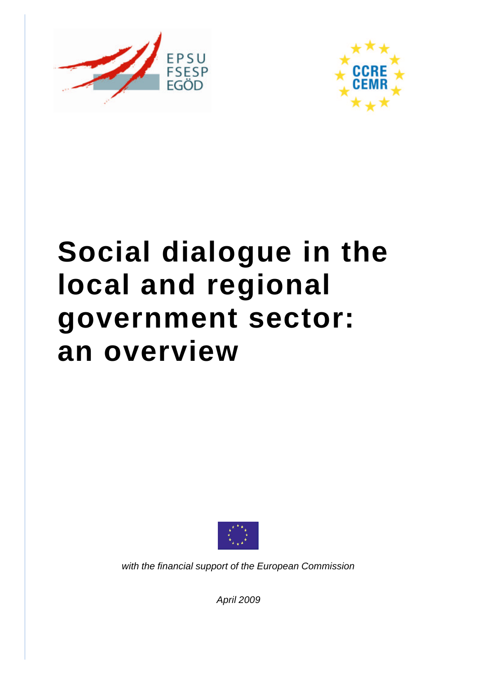



# **Social dialogue in the local and regional government sector: an overview**



*with the financial support of the European Commission*

*April 2009*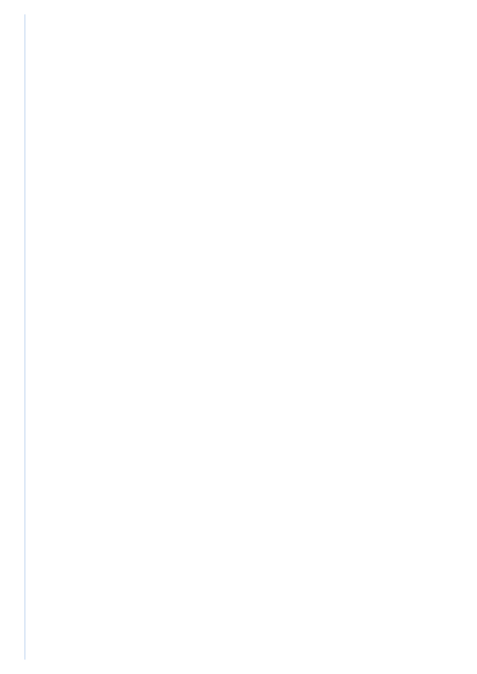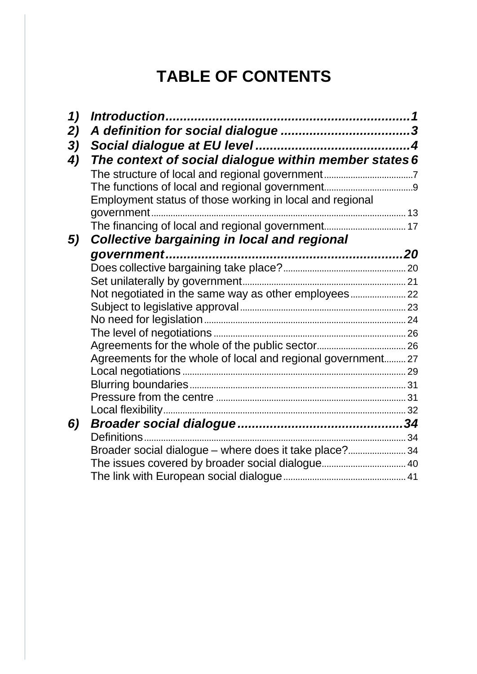# **TABLE OF CONTENTS**

| 1) |                                                              |  |
|----|--------------------------------------------------------------|--|
| 2) |                                                              |  |
| 3) |                                                              |  |
| 4) | The context of social dialogue within member states 6        |  |
|    |                                                              |  |
|    |                                                              |  |
|    | Employment status of those working in local and regional     |  |
|    | government                                                   |  |
|    |                                                              |  |
| 5) | <b>Collective bargaining in local and regional</b>           |  |
|    |                                                              |  |
|    |                                                              |  |
|    |                                                              |  |
|    | Not negotiated in the same way as other employees            |  |
|    |                                                              |  |
|    |                                                              |  |
|    |                                                              |  |
|    |                                                              |  |
|    | Agreements for the whole of local and regional government 27 |  |
|    |                                                              |  |
|    |                                                              |  |
|    |                                                              |  |
| 6) |                                                              |  |
|    |                                                              |  |
|    |                                                              |  |
|    | The issues covered by broader social dialogue 40             |  |
|    |                                                              |  |
|    |                                                              |  |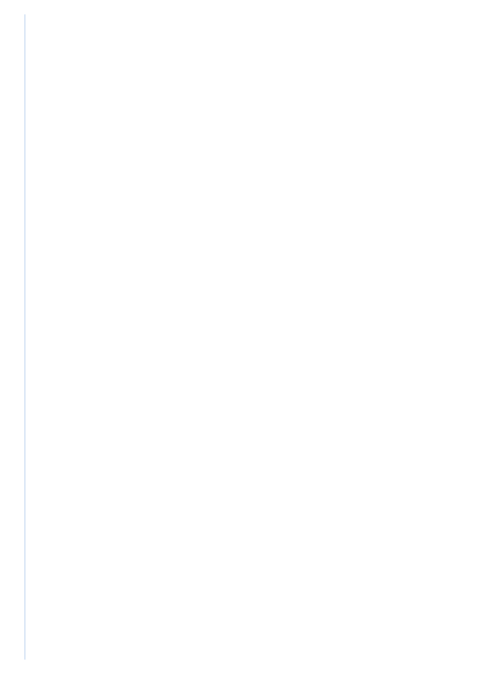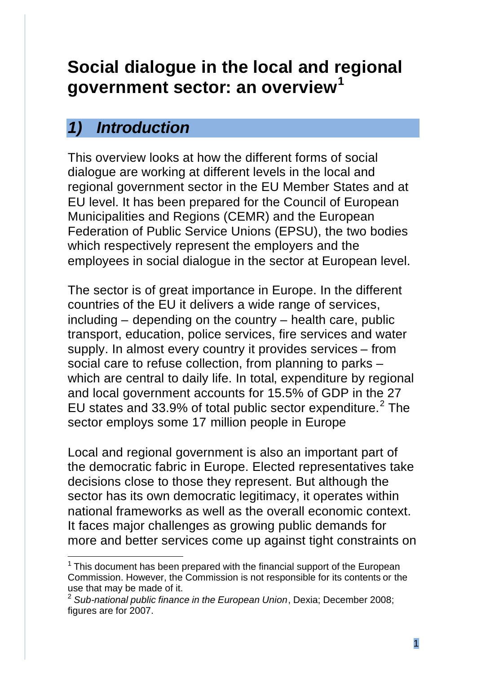# **Social dialogue in the local and regional government sector: an overview<sup>1</sup>**

# *1) Introduction*

j

This overview looks at how the different forms of social dialogue are working at different levels in the local and regional government sector in the EU Member States and at EU level. It has been prepared for the Council of European Municipalities and Regions (CEMR) and the European Federation of Public Service Unions (EPSU), the two bodies which respectively represent the employers and the employees in social dialogue in the sector at European level.

The sector is of great importance in Europe. In the different countries of the EU it delivers a wide range of services, including – depending on the country – health care, public transport, education, police services, fire services and water supply. In almost every country it provides services – from social care to refuse collection, from planning to parks – which are central to daily life. In total, expenditure by regional and local government accounts for 15.5% of GDP in the 27 EU states and 33.9% of total public sector expenditure. $2$  The sector employs some 17 million people in Europe

Local and regional government is also an important part of the democratic fabric in Europe. Elected representatives take decisions close to those they represent. But although the sector has its own democratic legitimacy, it operates within national frameworks as well as the overall economic context. It faces major challenges as growing public demands for more and better services come up against tight constraints on

 $1$  This document has been prepared with the financial support of the European Commission. However, the Commission is not responsible for its contents or the use that may be made of it.

<sup>2</sup> *Sub-national public finance in the European Union*, Dexia; December 2008; figures are for 2007.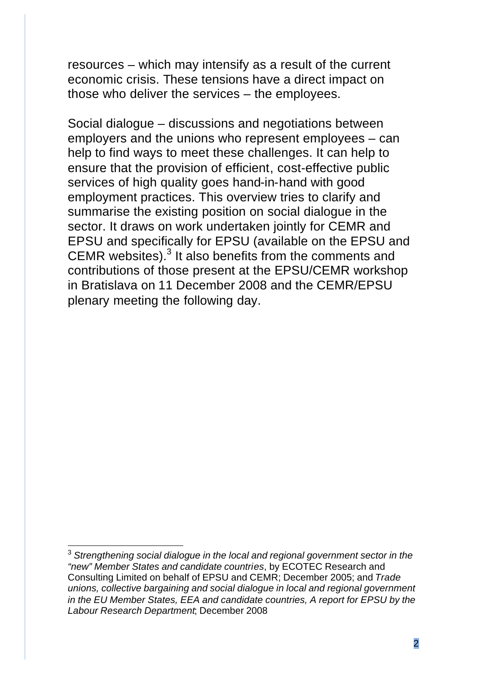resources – which may intensify as a result of the current economic crisis. These tensions have a direct impact on those who deliver the services – the employees.

Social dialogue – discussions and negotiations between employers and the unions who represent employees – can help to find ways to meet these challenges. It can help to ensure that the provision of efficient, cost-effective public services of high quality goes hand-in-hand with good employment practices. This overview tries to clarify and summarise the existing position on social dialogue in the sector. It draws on work undertaken jointly for CEMR and EPSU and specifically for EPSU (available on the EPSU and CEMR websites). $3$  It also benefits from the comments and contributions of those present at the EPSU/CEMR workshop in Bratislava on 11 December 2008 and the CEMR/EPSU plenary meeting the following day.

j

<sup>3</sup> *Strengthening social dialogue in the local and regional government sector in the "new" Member States and candidate countries*, by ECOTEC Research and Consulting Limited on behalf of EPSU and CEMR; December 2005; and *Trade unions, collective bargaining and social dialogue in local and regional government in the EU Member States, EEA and candidate countries, A report for EPSU by the Labour Research Department*; December 2008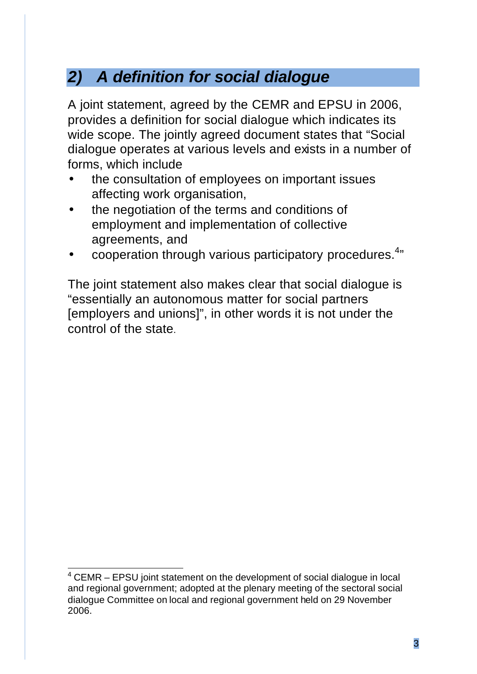## *2) A definition for social dialogue*

A joint statement, agreed by the CEMR and EPSU in 2006, provides a definition for social dialogue which indicates its wide scope. The jointly agreed document states that "Social dialogue operates at various levels and exists in a number of forms, which include

- the consultation of employees on important issues affecting work organisation,
- the negotiation of the terms and conditions of employment and implementation of collective agreements, and
- cooperation through various participatory procedures.<sup>4</sup>"

The joint statement also makes clear that social dialogue is "essentially an autonomous matter for social partners [employers and unions]", in other words it is not under the control of the state.

j  $4$  CEMR – EPSU joint statement on the development of social dialogue in local and regional government; adopted at the plenary meeting of the sectoral social dialogue Committee on local and regional government held on 29 November 2006.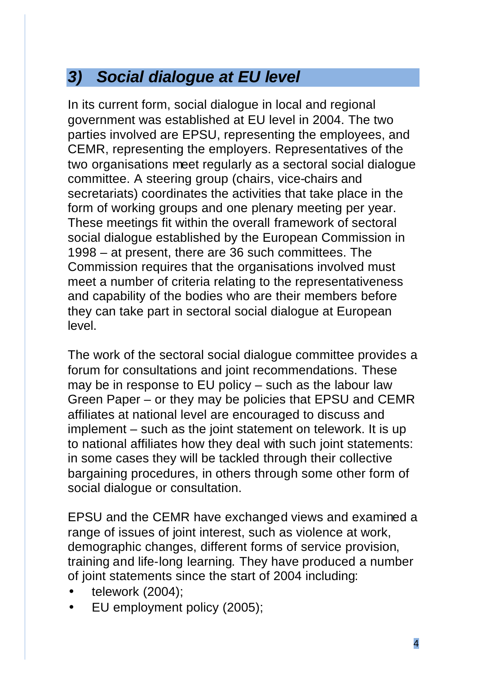## *3) Social dialogue at EU level*

In its current form, social dialogue in local and regional government was established at EU level in 2004. The two parties involved are EPSU, representing the employees, and CEMR, representing the employers. Representatives of the two organisations meet regularly as a sectoral social dialogue committee. A steering group (chairs, vice-chairs and secretariats) coordinates the activities that take place in the form of working groups and one plenary meeting per year. These meetings fit within the overall framework of sectoral social dialogue established by the European Commission in 1998 – at present, there are 36 such committees. The Commission requires that the organisations involved must meet a number of criteria relating to the representativeness and capability of the bodies who are their members before they can take part in sectoral social dialogue at European level.

The work of the sectoral social dialogue committee provides a forum for consultations and joint recommendations. These may be in response to EU policy – such as the labour law Green Paper – or they may be policies that EPSU and CEMR affiliates at national level are encouraged to discuss and implement – such as the joint statement on telework. It is up to national affiliates how they deal with such joint statements: in some cases they will be tackled through their collective bargaining procedures, in others through some other form of social dialogue or consultation.

EPSU and the CEMR have exchanged views and examined a range of issues of joint interest, such as violence at work, demographic changes, different forms of service provision, training and life-long learning. They have produced a number of joint statements since the start of 2004 including:

- telework (2004);
- EU employment policy (2005);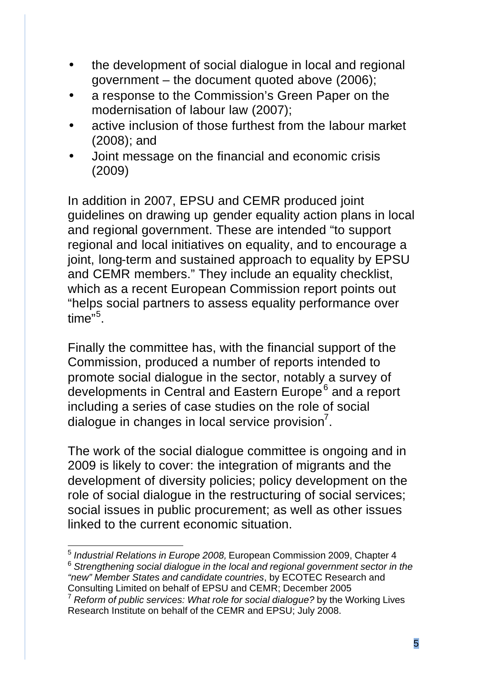- the development of social dialogue in local and regional government – the document quoted above (2006);
- a response to the Commission's Green Paper on the modernisation of labour law (2007);
- active inclusion of those furthest from the labour market (2008); and
- Joint message on the financial and economic crisis (2009)

In addition in 2007, EPSU and CEMR produced joint guidelines on drawing up gender equality action plans in local and regional government. These are intended "to support regional and local initiatives on equality, and to encourage a joint, long-term and sustained approach to equality by EPSU and CEMR members." They include an equality checklist, which as a recent European Commission report points out "helps social partners to assess equality performance over time"<sup>5</sup>.

Finally the committee has, with the financial support of the Commission, produced a number of reports intended to promote social dialogue in the sector, notably a survey of developments in Central and Eastern Europe<sup>6</sup> and a report including a series of case studies on the role of social dialogue in changes in local service provision<sup>7</sup>.

The work of the social dialogue committee is ongoing and in 2009 is likely to cover: the integration of migrants and the development of diversity policies; policy development on the role of social dialogue in the restructuring of social services; social issues in public procurement; as well as other issues linked to the current economic situation.

 5 *Industrial Relations in Europe 2008,* European Commission 2009, Chapter 4 <sup>6</sup> *Strengthening social dialogue in the local and regional government sector in the "new" Member States and candidate countries*, by ECOTEC Research and Consulting Limited on behalf of EPSU and CEMR; December 2005 <sup>7</sup> *Reform of public services: What role for social dialogue?* by the Working Lives Research Institute on behalf of the CEMR and EPSU; July 2008.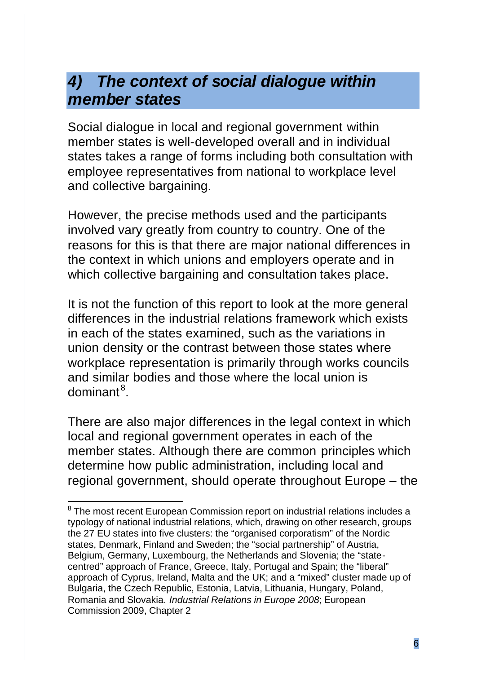## *4) The context of social dialogue within member states*

Social dialogue in local and regional government within member states is well-developed overall and in individual states takes a range of forms including both consultation with employee representatives from national to workplace level and collective bargaining.

However, the precise methods used and the participants involved vary greatly from country to country. One of the reasons for this is that there are major national differences in the context in which unions and employers operate and in which collective bargaining and consultation takes place.

It is not the function of this report to look at the more general differences in the industrial relations framework which exists in each of the states examined, such as the variations in union density or the contrast between those states where workplace representation is primarily through works councils and similar bodies and those where the local union is dominant<sup>8</sup>.

There are also major differences in the legal context in which local and regional government operates in each of the member states. Although there are common principles which determine how public administration, including local and regional government, should operate throughout Europe – the

j

<sup>&</sup>lt;sup>8</sup> The most recent European Commission report on industrial relations includes a typology of national industrial relations, which, drawing on other research, groups the 27 EU states into five clusters: the "organised corporatism" of the Nordic states, Denmark, Finland and Sweden; the "social partnership" of Austria, Belgium, Germany, Luxembourg, the Netherlands and Slovenia; the "statecentred" approach of France, Greece, Italy, Portugal and Spain; the "liberal" approach of Cyprus, Ireland, Malta and the UK; and a "mixed" cluster made up of Bulgaria, the Czech Republic, Estonia, Latvia, Lithuania, Hungary, Poland, Romania and Slovakia. *Industrial Relations in Europe 2008*; European Commission 2009, Chapter 2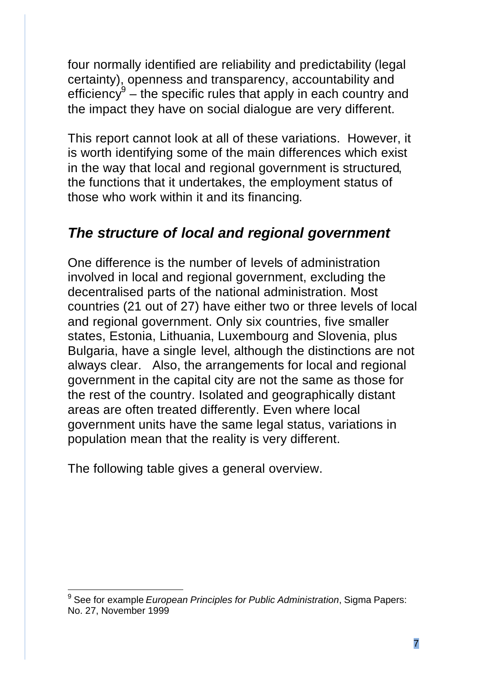four normally identified are reliability and predictability (legal certainty), openness and transparency, accountability and efficiency $9 -$  the specific rules that apply in each country and the impact they have on social dialogue are very different.

This report cannot look at all of these variations. However, it is worth identifying some of the main differences which exist in the way that local and regional government is structured, the functions that it undertakes, the employment status of those who work within it and its financing.

### *The structure of local and regional government*

One difference is the number of levels of administration involved in local and regional government, excluding the decentralised parts of the national administration. Most countries (21 out of 27) have either two or three levels of local and regional government. Only six countries, five smaller states, Estonia, Lithuania, Luxembourg and Slovenia, plus Bulgaria, have a single level, although the distinctions are not always clear. Also, the arrangements for local and regional government in the capital city are not the same as those for the rest of the country. Isolated and geographically distant areas are often treated differently. Even where local government units have the same legal status, variations in population mean that the reality is very different.

The following table gives a general overview.

j

<sup>9</sup> See for example *European Principles for Public Administration*, Sigma Papers: No. 27, November 1999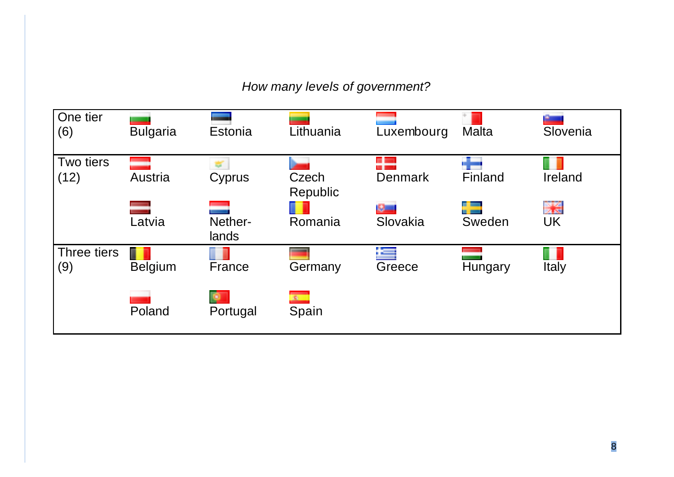#### *How many levels of government?*

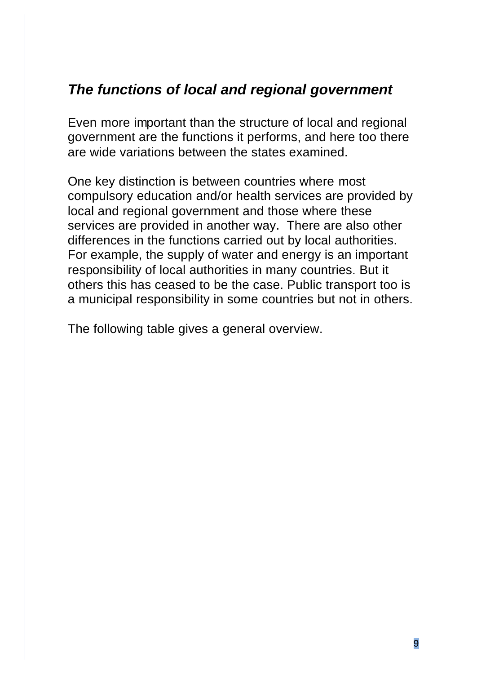#### *The functions of local and regional government*

Even more important than the structure of local and regional government are the functions it performs, and here too there are wide variations between the states examined.

One key distinction is between countries where most compulsory education and/or health services are provided by local and regional government and those where these services are provided in another way. There are also other differences in the functions carried out by local authorities. For example, the supply of water and energy is an important responsibility of local authorities in many countries. But it others this has ceased to be the case. Public transport too is a municipal responsibility in some countries but not in others.

The following table gives a general overview.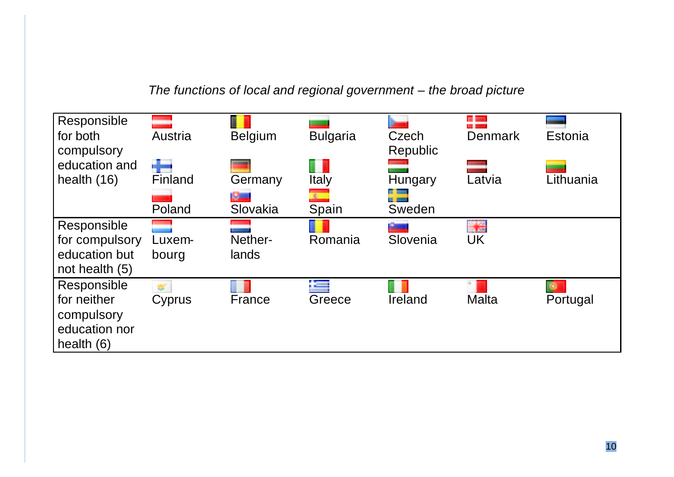*The functions of local and regional government – the broad picture*

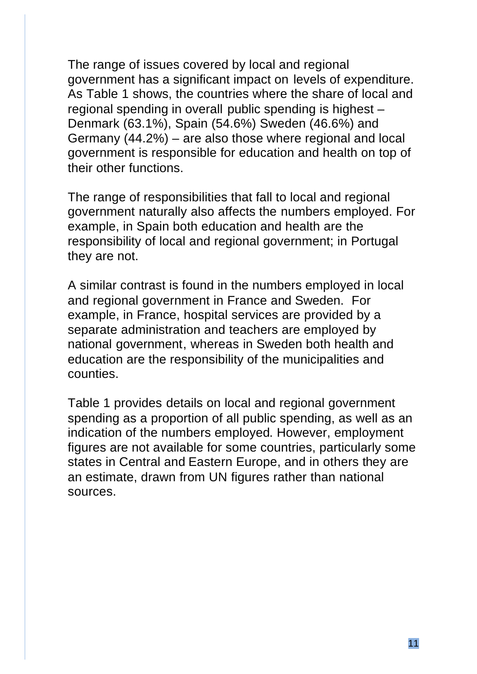The range of issues covered by local and regional government has a significant impact on levels of expenditure. As Table 1 shows, the countries where the share of local and regional spending in overall public spending is highest – Denmark (63.1%), Spain (54.6%) Sweden (46.6%) and Germany (44.2%) – are also those where regional and local government is responsible for education and health on top of their other functions.

The range of responsibilities that fall to local and regional government naturally also affects the numbers employed. For example, in Spain both education and health are the responsibility of local and regional government; in Portugal they are not.

A similar contrast is found in the numbers employed in local and regional government in France and Sweden. For example, in France, hospital services are provided by a separate administration and teachers are employed by national government, whereas in Sweden both health and education are the responsibility of the municipalities and counties.

Table 1 provides details on local and regional government spending as a proportion of all public spending, as well as an indication of the numbers employed. However, employment figures are not available for some countries, particularly some states in Central and Eastern Europe, and in others they are an estimate, drawn from UN figures rather than national sources.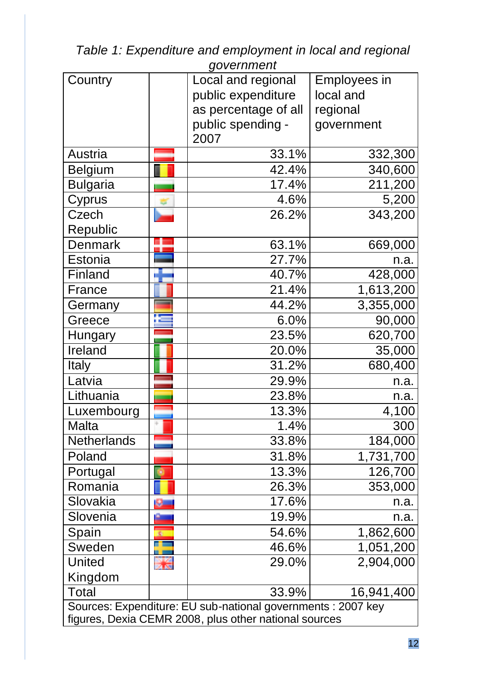Employees in Country | | Local and regional local and public expenditure as percentage of all regional public spending government 2007 Austria 1990 33.1% 33.1% 332,300 Belgium 1. 42.4% 340,600 Bulgaria 17.4% 211,200 Cyprus  $\begin{array}{|c|c|c|c|c|}\n\hline\n\end{array}$  4.6% 5,200 26.2% 343,200 **Czech** Republic Denmark  $\boxed{1}$  63.1% 669,000 Estonia 27.7% n.a. Finland  $\boxed{+}$  40.7% 428,000 France **1.4%** 1,613,200 Germany **14.2%** 3,355,000 Greece 6.0% 90,000 Hungary **1. 1. 23.5%** 620,700 **Ireland 1.1 20.0% 35,000 Italy** 11 1 31.2% 680,400 Latvia **199.9%** n.a. Lithuania **n.a.** 23.8% n.a. Luxembourg **13.3%** 4,100 Malta  $\begin{array}{|c|c|c|c|}\hline \text{Malta} & & \text{${\bf 1.4}\%$} \hline \end{array} \hspace{1.2cm} \begin{array}{c} \text{300} \end{array}$ Netherlands **184,000** 33.8% 184,000 Poland 1,731,700 Portugal 13.3% 126,700 Romania  $\boxed{\Box}$  1 26.3% 353,000 Slovakia 17.6% n.a. Slovenia 19.9% n.a. Spain **1,862,600** 54.6% 1,862,600 Sweden  $\boxed{1}$  46.6% 1,051,200 29.0% 2,904,000 United Ba Kingdom Total 33.9% 16,941,400 Sources: Expenditure: EU sub-national governments : 2007 key figures, Dexia CEMR 2008, plus other national sources

*Table 1: Expenditure and employment in local and regional government*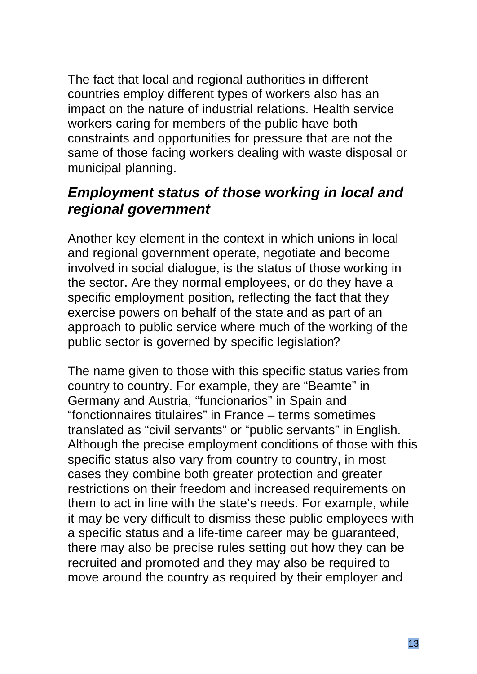The fact that local and regional authorities in different countries employ different types of workers also has an impact on the nature of industrial relations. Health service workers caring for members of the public have both constraints and opportunities for pressure that are not the same of those facing workers dealing with waste disposal or municipal planning.

#### *Employment status of those working in local and regional government*

Another key element in the context in which unions in local and regional government operate, negotiate and become involved in social dialogue, is the status of those working in the sector. Are they normal employees, or do they have a specific employment position, reflecting the fact that they exercise powers on behalf of the state and as part of an approach to public service where much of the working of the public sector is governed by specific legislation?

The name given to those with this specific status varies from country to country. For example, they are "Beamte" in Germany and Austria, "funcionarios" in Spain and "fonctionnaires titulaires" in France – terms sometimes translated as "civil servants" or "public servants" in English. Although the precise employment conditions of those with this specific status also vary from country to country, in most cases they combine both greater protection and greater restrictions on their freedom and increased requirements on them to act in line with the state's needs. For example, while it may be very difficult to dismiss these public employees with a specific status and a life-time career may be guaranteed, there may also be precise rules setting out how they can be recruited and promoted and they may also be required to move around the country as required by their employer and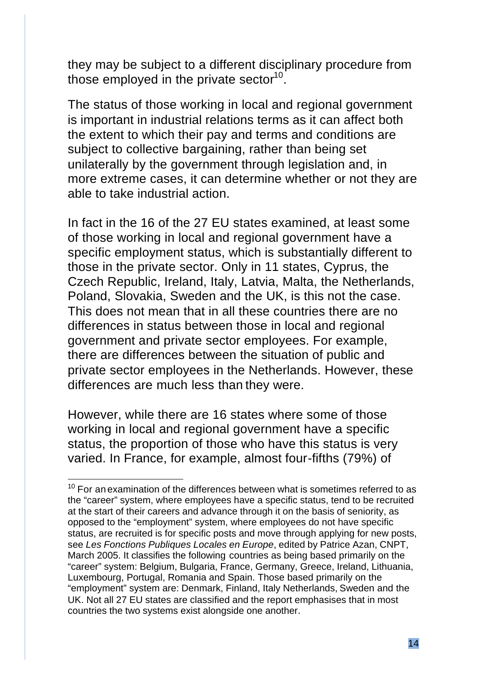they may be subject to a different disciplinary procedure from those employed in the private sector $10$ .

The status of those working in local and regional government is important in industrial relations terms as it can affect both the extent to which their pay and terms and conditions are subject to collective bargaining, rather than being set unilaterally by the government through legislation and, in more extreme cases, it can determine whether or not they are able to take industrial action.

In fact in the 16 of the 27 EU states examined, at least some of those working in local and regional government have a specific employment status, which is substantially different to those in the private sector. Only in 11 states, Cyprus, the Czech Republic, Ireland, Italy, Latvia, Malta, the Netherlands, Poland, Slovakia, Sweden and the UK, is this not the case. This does not mean that in all these countries there are no differences in status between those in local and regional government and private sector employees. For example, there are differences between the situation of public and private sector employees in the Netherlands. However, these differences are much less than they were.

However, while there are 16 states where some of those working in local and regional government have a specific status, the proportion of those who have this status is very varied. In France, for example, almost four-fifths (79%) of

j

 $10$  For an examination of the differences between what is sometimes referred to as the "career" system, where employees have a specific status, tend to be recruited at the start of their careers and advance through it on the basis of seniority, as opposed to the "employment" system, where employees do not have specific status, are recruited is for specific posts and move through applying for new posts, see *Les Fonctions Publiques Locales en Europe*, edited by Patrice Azan, CNPT, March 2005. It classifies the following countries as being based primarily on the "career" system: Belgium, Bulgaria, France, Germany, Greece, Ireland, Lithuania, Luxembourg, Portugal, Romania and Spain. Those based primarily on the "employment" system are: Denmark, Finland, Italy Netherlands, Sweden and the UK. Not all 27 EU states are classified and the report emphasises that in most countries the two systems exist alongside one another.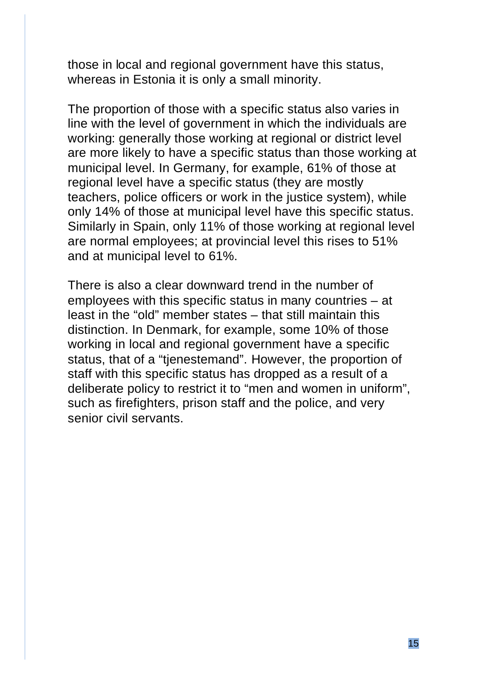those in local and regional government have this status, whereas in Estonia it is only a small minority.

The proportion of those with a specific status also varies in line with the level of government in which the individuals are working: generally those working at regional or district level are more likely to have a specific status than those working at municipal level. In Germany, for example, 61% of those at regional level have a specific status (they are mostly teachers, police officers or work in the justice system), while only 14% of those at municipal level have this specific status. Similarly in Spain, only 11% of those working at regional level are normal employees; at provincial level this rises to 51% and at municipal level to 61%.

There is also a clear downward trend in the number of employees with this specific status in many countries – at least in the "old" member states – that still maintain this distinction. In Denmark, for example, some 10% of those working in local and regional government have a specific status, that of a "tjenestemand". However, the proportion of staff with this specific status has dropped as a result of a deliberate policy to restrict it to "men and women in uniform", such as firefighters, prison staff and the police, and very senior civil servants.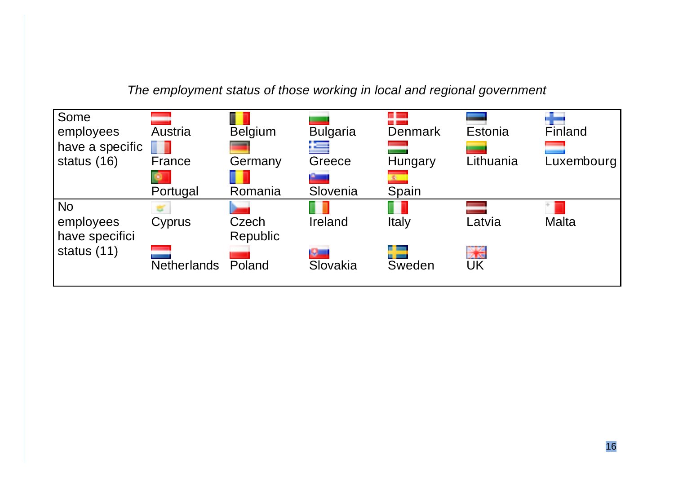*The employment status of those working in local and regional government*

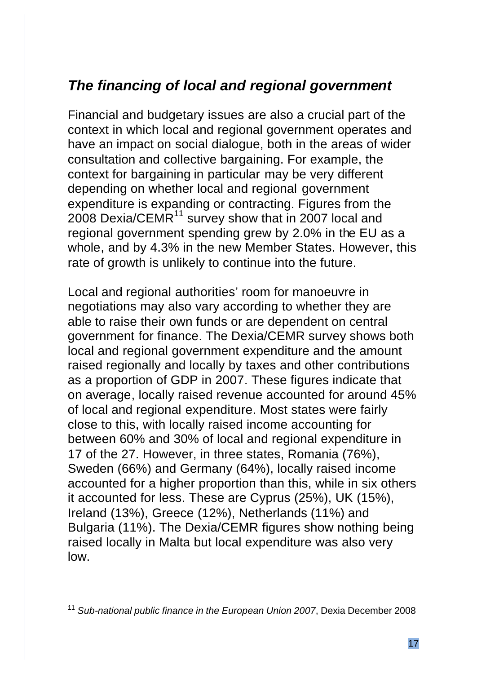#### *The financing of local and regional government*

Financial and budgetary issues are also a crucial part of the context in which local and regional government operates and have an impact on social dialogue, both in the areas of wider consultation and collective bargaining. For example, the context for bargaining in particular may be very different depending on whether local and regional government expenditure is expanding or contracting. Figures from the 2008 Dexia/CEMR<sup>11</sup> survey show that in 2007 local and regional government spending grew by 2.0% in the EU as a whole, and by 4.3% in the new Member States. However, this rate of growth is unlikely to continue into the future.

Local and regional authorities' room for manoeuvre in negotiations may also vary according to whether they are able to raise their own funds or are dependent on central government for finance. The Dexia/CEMR survey shows both local and regional government expenditure and the amount raised regionally and locally by taxes and other contributions as a proportion of GDP in 2007. These figures indicate that on average, locally raised revenue accounted for around 45% of local and regional expenditure. Most states were fairly close to this, with locally raised income accounting for between 60% and 30% of local and regional expenditure in 17 of the 27. However, in three states, Romania (76%), Sweden (66%) and Germany (64%), locally raised income accounted for a higher proportion than this, while in six others it accounted for less. These are Cyprus (25%), UK (15%), Ireland (13%), Greece (12%), Netherlands (11%) and Bulgaria (11%). The Dexia/CEMR figures show nothing being raised locally in Malta but local expenditure was also very low.

 <sup>11</sup> *Sub-national public finance in the European Union 2007*, Dexia December 2008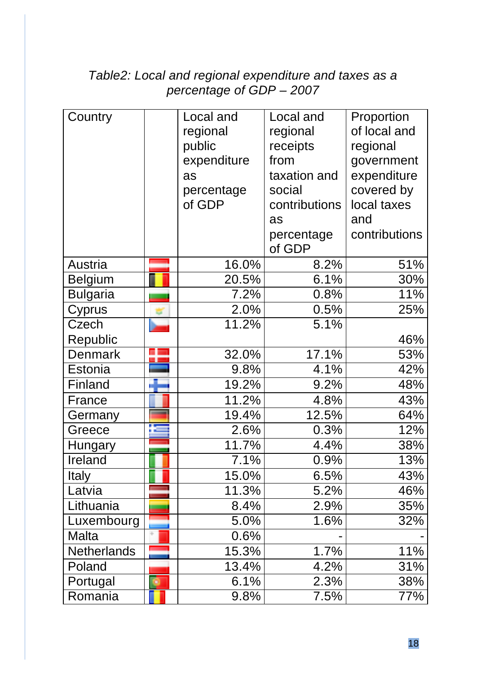#### *Table2: Local and regional expenditure and taxes as a percentage of GDP – 2007*

| Country            |   | Local and               | Local and    | Proportion    |  |
|--------------------|---|-------------------------|--------------|---------------|--|
|                    |   | regional                | regional     | of local and  |  |
|                    |   | public                  | receipts     | regional      |  |
|                    |   | expenditure             | from         | government    |  |
|                    |   | as                      | taxation and | expenditure   |  |
|                    |   | percentage              | social       | covered by    |  |
|                    |   | of GDP<br>contributions |              | local taxes   |  |
|                    |   |                         | as           | and           |  |
|                    |   |                         | percentage   | contributions |  |
|                    |   |                         | of GDP       |               |  |
| Austria            |   | 16.0%                   | 8.2%         | 51%           |  |
| <b>Belgium</b>     |   | 20.5%                   | 6.1%         | 30%           |  |
| <b>Bulgaria</b>    |   | 7.2%                    | 0.8%         | 11%           |  |
| Cyprus             |   | 2.0%                    | 0.5%         | 25%           |  |
| Czech              |   | 11.2%                   | 5.1%         |               |  |
| Republic           |   |                         |              | 46%           |  |
| <b>Denmark</b>     |   | 32.0%                   | 17.1%        | 53%           |  |
| Estonia            |   | 9.8%                    | 4.1%         | 42%           |  |
| Finland            |   | 19.2%                   | 9.2%         | 48%           |  |
| France             |   | 11.2%                   | 4.8%         | 43%           |  |
| Germany            |   | 19.4%                   | 12.5%        | 64%           |  |
| Greece             |   | 2.6%                    | 0.3%         | 12%           |  |
| <b>Hungary</b>     |   | 11.7%                   | 4.4%         | 38%           |  |
| Ireland            |   | 7.1%                    | 0.9%         | 13%           |  |
| <b>Italy</b>       |   | 15.0%                   | 6.5%         | 43%           |  |
| Latvia             |   | 11.3%                   | 5.2%         | 46%           |  |
| Lithuania          |   | 8.4%                    | 2.9%         | 35%           |  |
| Luxembourg         |   | 5.0%                    | 1.6%         | 32%           |  |
| Malta              | ÷ | 0.6%                    |              |               |  |
| <b>Netherlands</b> |   | 15.3%                   | 1.7%         | 11%           |  |
| Poland             |   | 13.4%                   | 4.2%         | 31%           |  |
| Portugal           | 粵 | 6.1%                    | 2.3%         | 38%           |  |
| Romania            |   | 9.8%                    | 7.5%         | 77%           |  |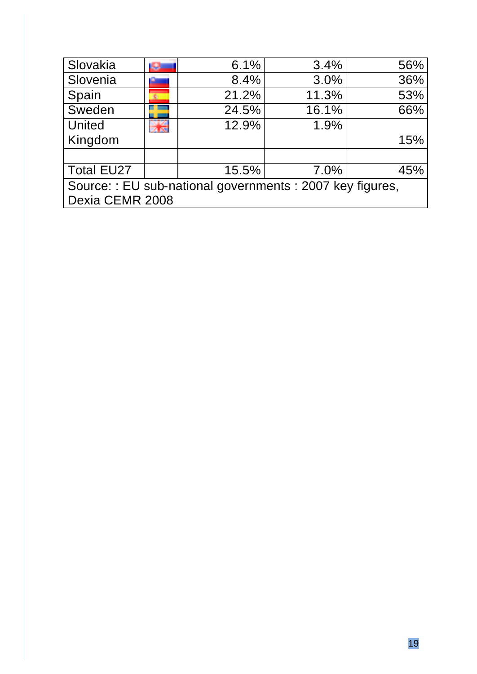| Slovakia                                                |    | 6.1%  | 3.4%  | 56% |  |  |
|---------------------------------------------------------|----|-------|-------|-----|--|--|
| Slovenia                                                |    | 8.4%  | 3.0%  | 36% |  |  |
| Spain                                                   |    | 21.2% | 11.3% | 53% |  |  |
| Sweden                                                  |    | 24.5% | 16.1% | 66% |  |  |
| <b>United</b>                                           | 義義 | 12.9% | 1.9%  |     |  |  |
| Kingdom                                                 |    |       |       | 15% |  |  |
|                                                         |    |       |       |     |  |  |
| <b>Total EU27</b>                                       |    | 15.5% | 7.0%  | 45% |  |  |
| Source:: EU sub-national governments: 2007 key figures, |    |       |       |     |  |  |
| Dexia CEMR 2008                                         |    |       |       |     |  |  |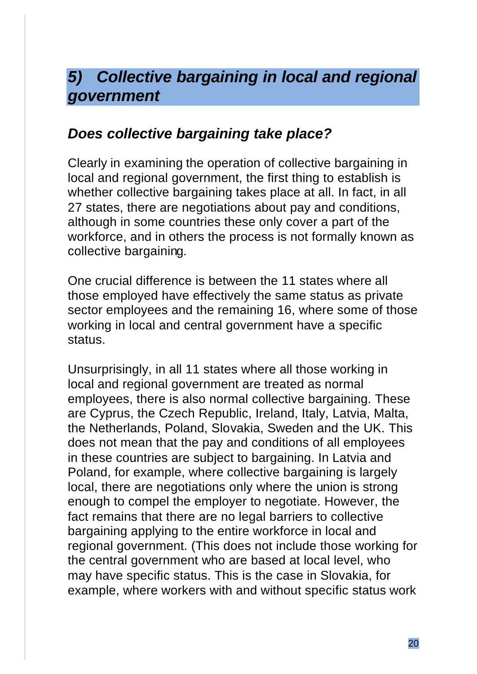## *5) Collective bargaining in local and regional government*

#### *Does collective bargaining take place?*

Clearly in examining the operation of collective bargaining in local and regional government, the first thing to establish is whether collective bargaining takes place at all. In fact, in all 27 states, there are negotiations about pay and conditions, although in some countries these only cover a part of the workforce, and in others the process is not formally known as collective bargaining.

One crucial difference is between the 11 states where all those employed have effectively the same status as private sector employees and the remaining 16, where some of those working in local and central government have a specific status.

Unsurprisingly, in all 11 states where all those working in local and regional government are treated as normal employees, there is also normal collective bargaining. These are Cyprus, the Czech Republic, Ireland, Italy, Latvia, Malta, the Netherlands, Poland, Slovakia, Sweden and the UK. This does not mean that the pay and conditions of all employees in these countries are subject to bargaining. In Latvia and Poland, for example, where collective bargaining is largely local, there are negotiations only where the union is strong enough to compel the employer to negotiate. However, the fact remains that there are no legal barriers to collective bargaining applying to the entire workforce in local and regional government. (This does not include those working for the central government who are based at local level, who may have specific status. This is the case in Slovakia, for example, where workers with and without specific status work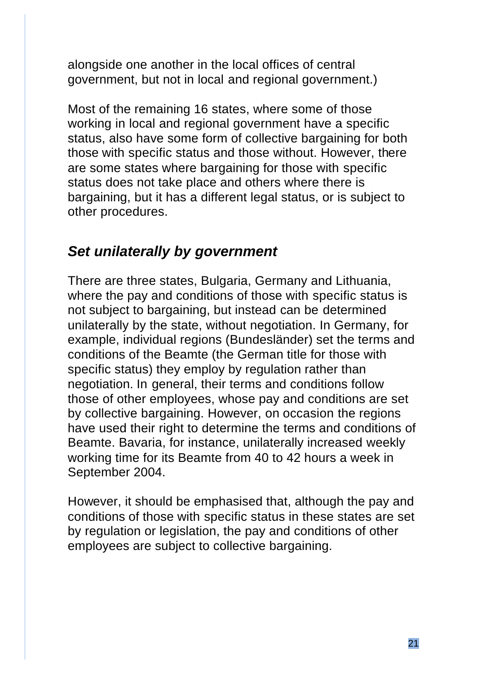alongside one another in the local offices of central government, but not in local and regional government.)

Most of the remaining 16 states, where some of those working in local and regional government have a specific status, also have some form of collective bargaining for both those with specific status and those without. However, there are some states where bargaining for those with specific status does not take place and others where there is bargaining, but it has a different legal status, or is subject to other procedures.

#### *Set unilaterally by government*

There are three states, Bulgaria, Germany and Lithuania, where the pay and conditions of those with specific status is not subject to bargaining, but instead can be determined unilaterally by the state, without negotiation. In Germany, for example, individual regions (Bundesländer) set the terms and conditions of the Beamte (the German title for those with specific status) they employ by regulation rather than negotiation. In general, their terms and conditions follow those of other employees, whose pay and conditions are set by collective bargaining. However, on occasion the regions have used their right to determine the terms and conditions of Beamte. Bavaria, for instance, unilaterally increased weekly working time for its Beamte from 40 to 42 hours a week in September 2004.

However, it should be emphasised that, although the pay and conditions of those with specific status in these states are set by regulation or legislation, the pay and conditions of other employees are subject to collective bargaining.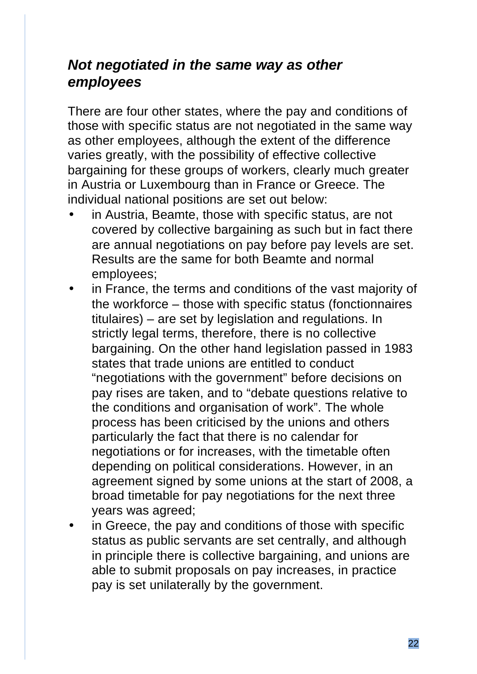#### *Not negotiated in the same way as other employees*

There are four other states, where the pay and conditions of those with specific status are not negotiated in the same way as other employees, although the extent of the difference varies greatly, with the possibility of effective collective bargaining for these groups of workers, clearly much greater in Austria or Luxembourg than in France or Greece. The individual national positions are set out below:

- in Austria, Beamte, those with specific status, are not covered by collective bargaining as such but in fact there are annual negotiations on pay before pay levels are set. Results are the same for both Beamte and normal employees;
- in France, the terms and conditions of the vast majority of the workforce – those with specific status (fonctionnaires titulaires) – are set by legislation and regulations. In strictly legal terms, therefore, there is no collective bargaining. On the other hand legislation passed in 1983 states that trade unions are entitled to conduct "negotiations with the government" before decisions on pay rises are taken, and to "debate questions relative to the conditions and organisation of work". The whole process has been criticised by the unions and others particularly the fact that there is no calendar for negotiations or for increases, with the timetable often depending on political considerations. However, in an agreement signed by some unions at the start of 2008, a broad timetable for pay negotiations for the next three years was agreed;
- in Greece, the pay and conditions of those with specific status as public servants are set centrally, and although in principle there is collective bargaining, and unions are able to submit proposals on pay increases, in practice pay is set unilaterally by the government.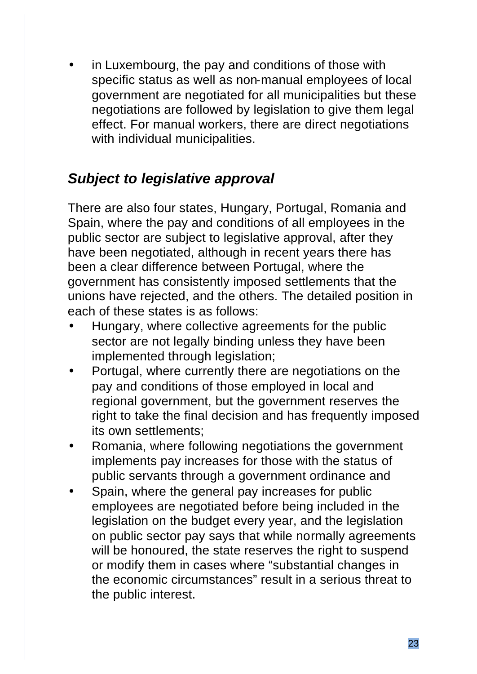• in Luxembourg, the pay and conditions of those with specific status as well as non-manual employees of local government are negotiated for all municipalities but these negotiations are followed by legislation to give them legal effect. For manual workers, there are direct negotiations with individual municipalities.

### *Subject to legislative approval*

There are also four states, Hungary, Portugal, Romania and Spain, where the pay and conditions of all employees in the public sector are subject to legislative approval, after they have been negotiated, although in recent years there has been a clear difference between Portugal, where the government has consistently imposed settlements that the unions have rejected, and the others. The detailed position in each of these states is as follows:

- Hungary, where collective agreements for the public sector are not legally binding unless they have been implemented through legislation;
- Portugal, where currently there are negotiations on the pay and conditions of those employed in local and regional government, but the government reserves the right to take the final decision and has frequently imposed its own settlements;
- Romania, where following negotiations the government implements pay increases for those with the status of public servants through a government ordinance and
- Spain, where the general pay increases for public employees are negotiated before being included in the legislation on the budget every year, and the legislation on public sector pay says that while normally agreements will be honoured, the state reserves the right to suspend or modify them in cases where "substantial changes in the economic circumstances" result in a serious threat to the public interest.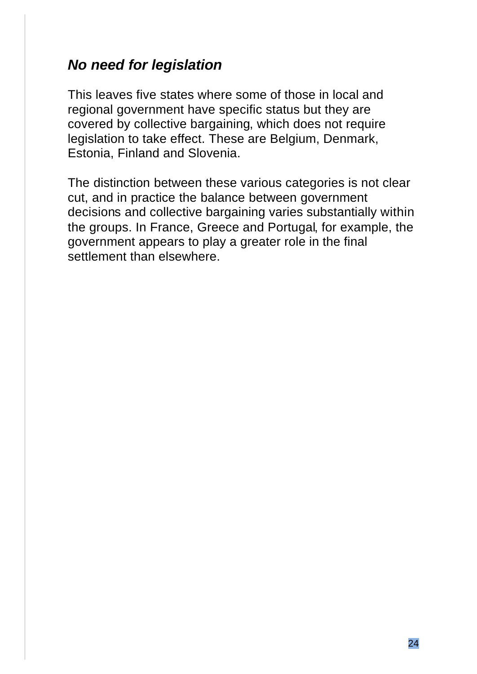#### *No need for legislation*

This leaves five states where some of those in local and regional government have specific status but they are covered by collective bargaining, which does not require legislation to take effect. These are Belgium, Denmark, Estonia, Finland and Slovenia.

The distinction between these various categories is not clear cut, and in practice the balance between government decisions and collective bargaining varies substantially within the groups. In France, Greece and Portugal, for example, the government appears to play a greater role in the final settlement than elsewhere.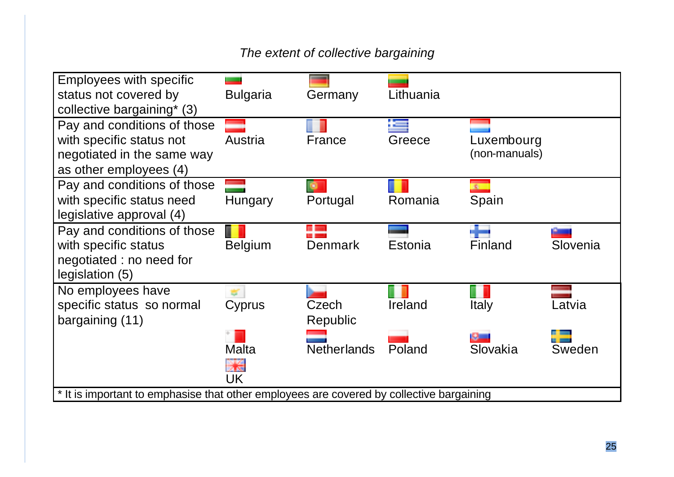#### *The extent of collective bargaining*

| <b>Employees with specific</b><br>status not covered by<br>collective bargaining* (3)                           | <b>Bulgaria</b>                 | Germany                                  | Lithuania   |                             |                         |  |
|-----------------------------------------------------------------------------------------------------------------|---------------------------------|------------------------------------------|-------------|-----------------------------|-------------------------|--|
| Pay and conditions of those<br>with specific status not<br>negotiated in the same way<br>as other employees (4) | Austria                         | France                                   | œ<br>Greece | Luxembourg<br>(non-manuals) |                         |  |
| Pay and conditions of those<br>with specific status need<br>legislative approval (4)                            | Hungary                         | Portugal                                 | Romania     | Spain                       |                         |  |
| Pay and conditions of those<br>with specific status<br>negotiated : no need for<br>legislation (5)              | <b>Belgium</b>                  | <b>College College</b><br><b>Denmark</b> | Estonia     | alimni<br><b>Finland</b>    | Slovenia                |  |
| No employees have<br>specific status so normal<br>bargaining (11)                                               | ₩<br>Cyprus                     | Czech<br>Republic                        | Ireland     | <b>Italy</b>                | Latvia                  |  |
|                                                                                                                 | <b>Malta</b><br>■図<br><b>UK</b> | <b>Netherlands</b>                       | Poland      | Slovakia                    | <b>Common</b><br>Sweden |  |
| * It is important to emphasise that other employees are covered by collective bargaining                        |                                 |                                          |             |                             |                         |  |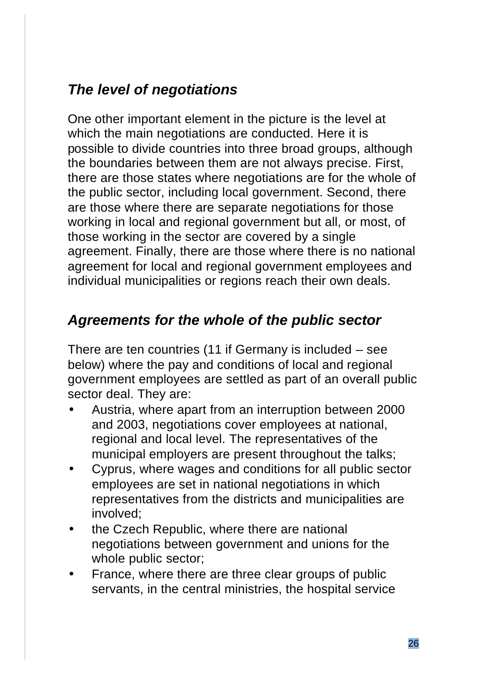## *The level of negotiations*

One other important element in the picture is the level at which the main negotiations are conducted. Here it is possible to divide countries into three broad groups, although the boundaries between them are not always precise. First, there are those states where negotiations are for the whole of the public sector, including local government. Second, there are those where there are separate negotiations for those working in local and regional government but all, or most, of those working in the sector are covered by a single agreement. Finally, there are those where there is no national agreement for local and regional government employees and individual municipalities or regions reach their own deals.

#### *Agreements for the whole of the public sector*

There are ten countries (11 if Germany is included – see below) where the pay and conditions of local and regional government employees are settled as part of an overall public sector deal. They are:

- Austria, where apart from an interruption between 2000 and 2003, negotiations cover employees at national, regional and local level. The representatives of the municipal employers are present throughout the talks;
- Cyprus, where wages and conditions for all public sector employees are set in national negotiations in which representatives from the districts and municipalities are involved;
- the Czech Republic, where there are national negotiations between government and unions for the whole public sector;
- France, where there are three clear groups of public servants, in the central ministries, the hospital service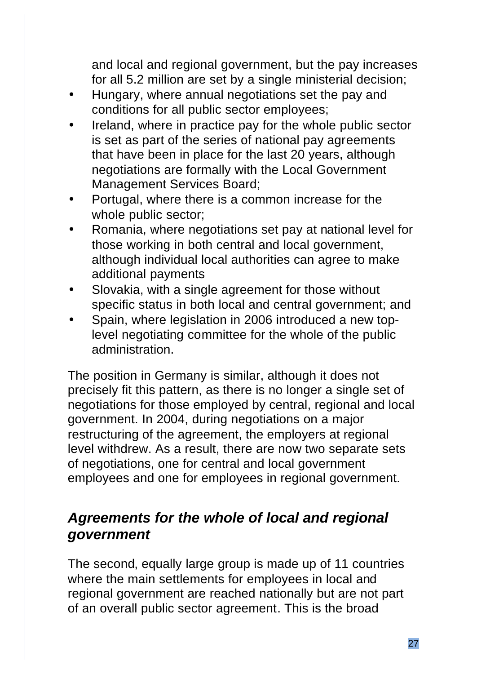and local and regional government, but the pay increases for all 5.2 million are set by a single ministerial decision;

- Hungary, where annual negotiations set the pay and conditions for all public sector employees;
- Ireland, where in practice pay for the whole public sector is set as part of the series of national pay agreements that have been in place for the last 20 years, although negotiations are formally with the Local Government Management Services Board;
- Portugal, where there is a common increase for the whole public sector;
- Romania, where negotiations set pay at national level for those working in both central and local government, although individual local authorities can agree to make additional payments
- Slovakia, with a single agreement for those without specific status in both local and central government; and
- Spain, where legislation in 2006 introduced a new toplevel negotiating committee for the whole of the public administration.

The position in Germany is similar, although it does not precisely fit this pattern, as there is no longer a single set of negotiations for those employed by central, regional and local government. In 2004, during negotiations on a major restructuring of the agreement, the employers at regional level withdrew. As a result, there are now two separate sets of negotiations, one for central and local government employees and one for employees in regional government.

#### *Agreements for the whole of local and regional government*

The second, equally large group is made up of 11 countries where the main settlements for employees in local and regional government are reached nationally but are not part of an overall public sector agreement. This is the broad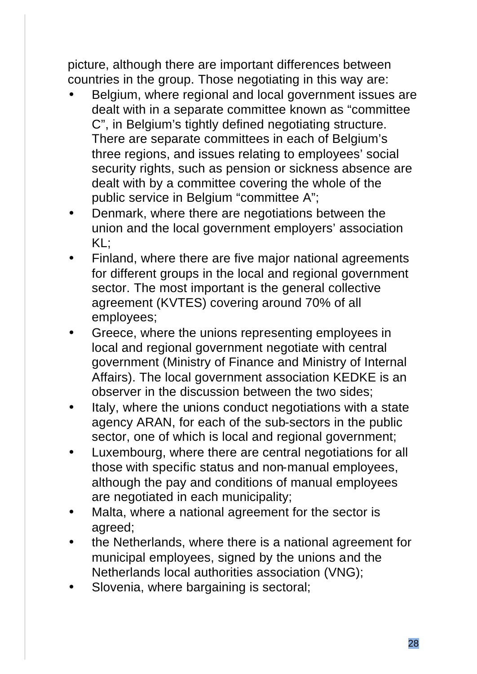picture, although there are important differences between countries in the group. Those negotiating in this way are:

- Belgium, where regional and local government issues are dealt with in a separate committee known as "committee C", in Belgium's tightly defined negotiating structure. There are separate committees in each of Belgium's three regions, and issues relating to employees' social security rights, such as pension or sickness absence are dealt with by a committee covering the whole of the public service in Belgium "committee A";
- Denmark, where there are negotiations between the union and the local government employers' association KL;
- Finland, where there are five major national agreements for different groups in the local and regional government sector. The most important is the general collective agreement (KVTES) covering around 70% of all employees;
- Greece, where the unions representing employees in local and regional government negotiate with central government (Ministry of Finance and Ministry of Internal Affairs). The local government association KEDKE is an observer in the discussion between the two sides;
- Italy, where the unions conduct negotiations with a state agency ARAN, for each of the sub-sectors in the public sector, one of which is local and regional government;
- Luxembourg, where there are central negotiations for all those with specific status and non-manual employees, although the pay and conditions of manual employees are negotiated in each municipality;
- Malta, where a national agreement for the sector is agreed;
- the Netherlands, where there is a national agreement for municipal employees, signed by the unions and the Netherlands local authorities association (VNG);
- Slovenia, where bargaining is sectoral;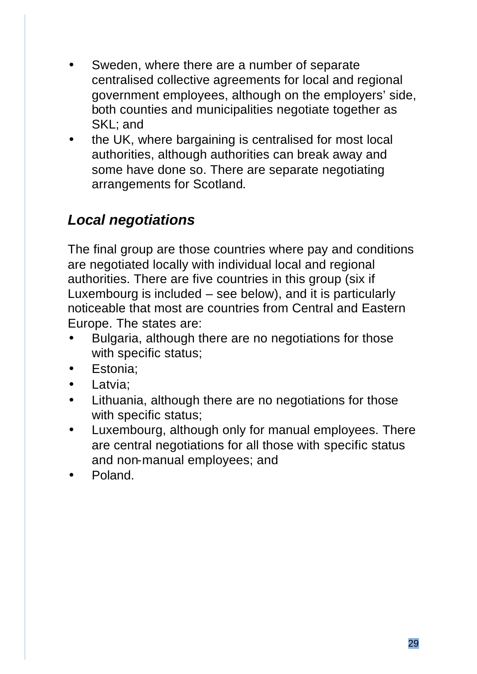- Sweden, where there are a number of separate centralised collective agreements for local and regional government employees, although on the employers' side, both counties and municipalities negotiate together as SKL; and
- the UK, where bargaining is centralised for most local authorities, although authorities can break away and some have done so. There are separate negotiating arrangements for Scotland.

## *Local negotiations*

The final group are those countries where pay and conditions are negotiated locally with individual local and regional authorities. There are five countries in this group (six if Luxembourg is included – see below), and it is particularly noticeable that most are countries from Central and Eastern Europe. The states are:

- Bulgaria, although there are no negotiations for those with specific status;
- Estonia:
- Latvia:
- Lithuania, although there are no negotiations for those with specific status;
- Luxembourg, although only for manual employees. There are central negotiations for all those with specific status and non-manual employees; and
- Poland.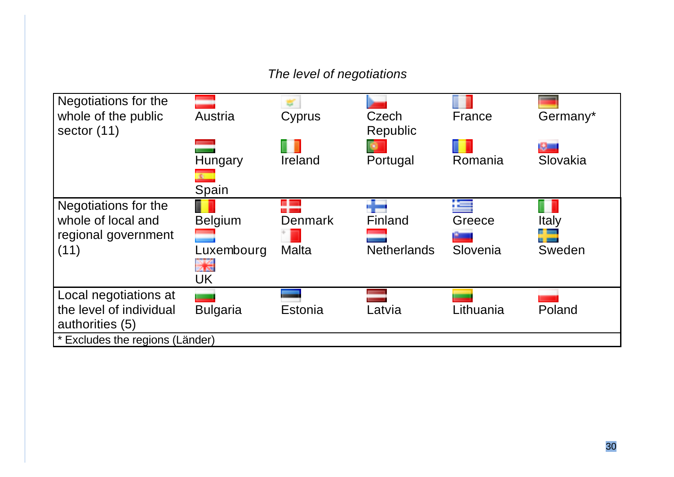#### *The level of negotiations*

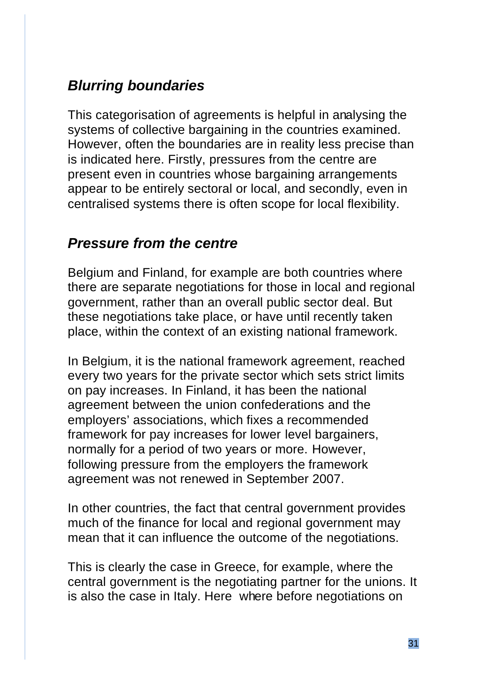### *Blurring boundaries*

This categorisation of agreements is helpful in analysing the systems of collective bargaining in the countries examined. However, often the boundaries are in reality less precise than is indicated here. Firstly, pressures from the centre are present even in countries whose bargaining arrangements appear to be entirely sectoral or local, and secondly, even in centralised systems there is often scope for local flexibility.

#### *Pressure from the centre*

Belgium and Finland, for example are both countries where there are separate negotiations for those in local and regional government, rather than an overall public sector deal. But these negotiations take place, or have until recently taken place, within the context of an existing national framework.

In Belgium, it is the national framework agreement, reached every two years for the private sector which sets strict limits on pay increases. In Finland, it has been the national agreement between the union confederations and the employers' associations, which fixes a recommended framework for pay increases for lower level bargainers, normally for a period of two years or more. However, following pressure from the employers the framework agreement was not renewed in September 2007.

In other countries, the fact that central government provides much of the finance for local and regional government may mean that it can influence the outcome of the negotiations.

This is clearly the case in Greece, for example, where the central government is the negotiating partner for the unions. It is also the case in Italy. Here where before negotiations on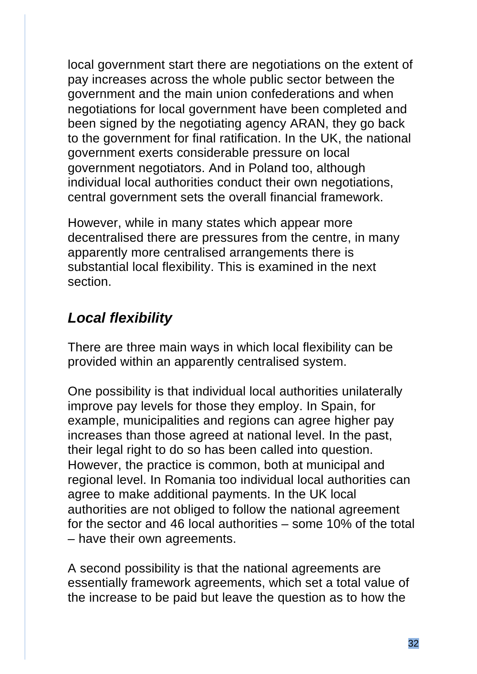local government start there are negotiations on the extent of pay increases across the whole public sector between the government and the main union confederations and when negotiations for local government have been completed and been signed by the negotiating agency ARAN, they go back to the government for final ratification. In the UK, the national government exerts considerable pressure on local government negotiators. And in Poland too, although individual local authorities conduct their own negotiations, central government sets the overall financial framework.

However, while in many states which appear more decentralised there are pressures from the centre, in many apparently more centralised arrangements there is substantial local flexibility. This is examined in the next section.

## *Local flexibility*

There are three main ways in which local flexibility can be provided within an apparently centralised system.

One possibility is that individual local authorities unilaterally improve pay levels for those they employ. In Spain, for example, municipalities and regions can agree higher pay increases than those agreed at national level. In the past, their legal right to do so has been called into question. However, the practice is common, both at municipal and regional level. In Romania too individual local authorities can agree to make additional payments. In the UK local authorities are not obliged to follow the national agreement for the sector and 46 local authorities – some 10% of the total – have their own agreements.

A second possibility is that the national agreements are essentially framework agreements, which set a total value of the increase to be paid but leave the question as to how the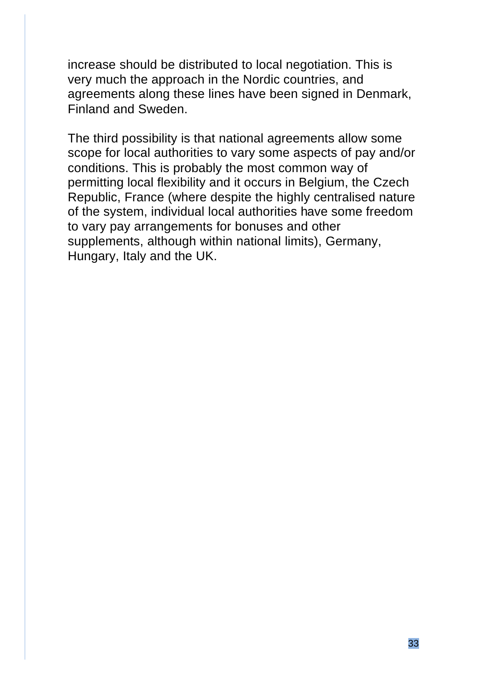increase should be distributed to local negotiation. This is very much the approach in the Nordic countries, and agreements along these lines have been signed in Denmark, Finland and Sweden.

The third possibility is that national agreements allow some scope for local authorities to vary some aspects of pay and/or conditions. This is probably the most common way of permitting local flexibility and it occurs in Belgium, the Czech Republic, France (where despite the highly centralised nature of the system, individual local authorities have some freedom to vary pay arrangements for bonuses and other supplements, although within national limits), Germany, Hungary, Italy and the UK.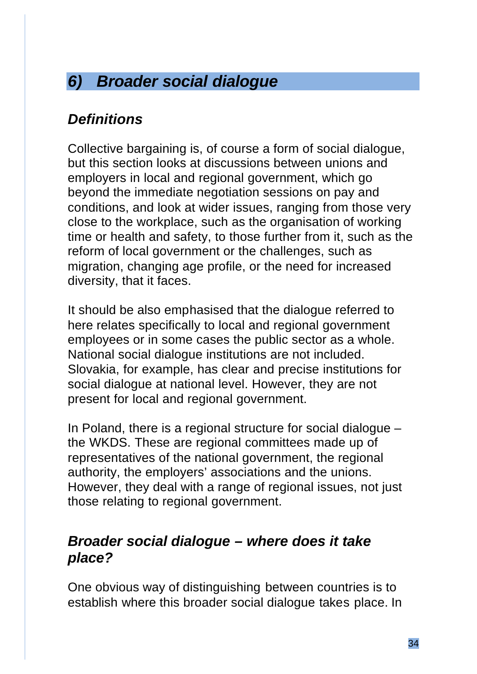## *6) Broader social dialogue*

### *Definitions*

Collective bargaining is, of course a form of social dialogue, but this section looks at discussions between unions and employers in local and regional government, which go beyond the immediate negotiation sessions on pay and conditions, and look at wider issues, ranging from those very close to the workplace, such as the organisation of working time or health and safety, to those further from it, such as the reform of local government or the challenges, such as migration, changing age profile, or the need for increased diversity, that it faces.

It should be also emphasised that the dialogue referred to here relates specifically to local and regional government employees or in some cases the public sector as a whole. National social dialogue institutions are not included. Slovakia, for example, has clear and precise institutions for social dialogue at national level. However, they are not present for local and regional government.

In Poland, there is a regional structure for social dialogue – the WKDS. These are regional committees made up of representatives of the national government, the regional authority, the employers' associations and the unions. However, they deal with a range of regional issues, not just those relating to regional government.

#### *Broader social dialogue – where does it take place?*

One obvious way of distinguishing between countries is to establish where this broader social dialogue takes place. In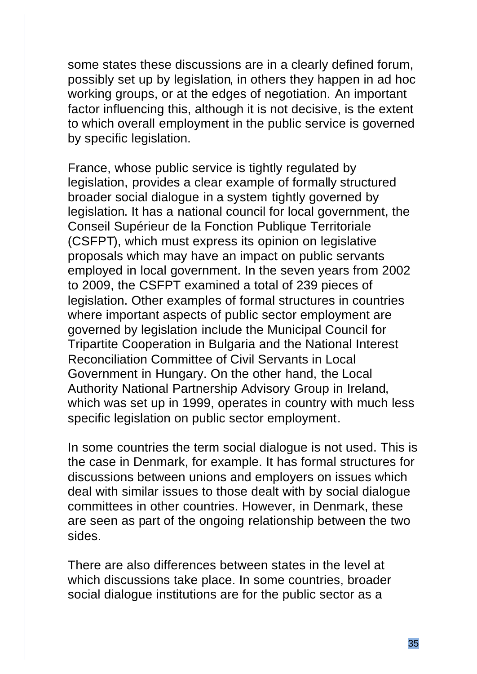some states these discussions are in a clearly defined forum, possibly set up by legislation, in others they happen in ad hoc working groups, or at the edges of negotiation. An important factor influencing this, although it is not decisive, is the extent to which overall employment in the public service is governed by specific legislation.

France, whose public service is tightly regulated by legislation, provides a clear example of formally structured broader social dialogue in a system tightly governed by legislation. It has a national council for local government, the Conseil Supérieur de la Fonction Publique Territoriale (CSFPT), which must express its opinion on legislative proposals which may have an impact on public servants employed in local government. In the seven years from 2002 to 2009, the CSFPT examined a total of 239 pieces of legislation. Other examples of formal structures in countries where important aspects of public sector employment are governed by legislation include the Municipal Council for Tripartite Cooperation in Bulgaria and the National Interest Reconciliation Committee of Civil Servants in Local Government in Hungary. On the other hand, the Local Authority National Partnership Advisory Group in Ireland, which was set up in 1999, operates in country with much less specific legislation on public sector employment.

In some countries the term social dialogue is not used. This is the case in Denmark, for example. It has formal structures for discussions between unions and employers on issues which deal with similar issues to those dealt with by social dialogue committees in other countries. However, in Denmark, these are seen as part of the ongoing relationship between the two sides.

There are also differences between states in the level at which discussions take place. In some countries, broader social dialogue institutions are for the public sector as a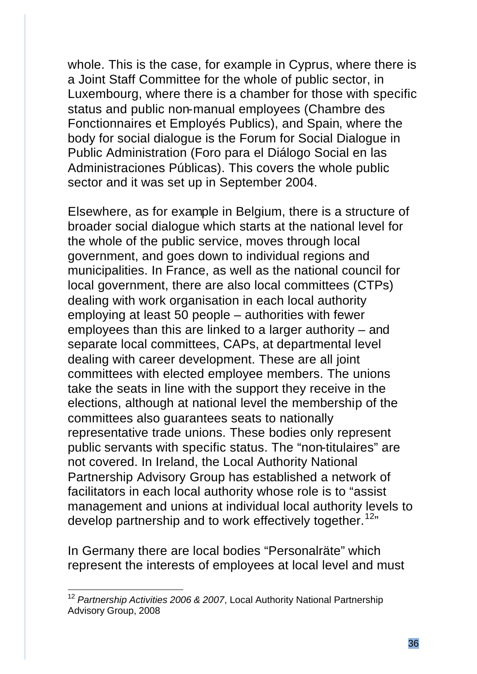whole. This is the case, for example in Cyprus, where there is a Joint Staff Committee for the whole of public sector, in Luxembourg, where there is a chamber for those with specific status and public non-manual employees (Chambre des Fonctionnaires et Employés Publics), and Spain, where the body for social dialogue is the Forum for Social Dialogue in Public Administration (Foro para el Diálogo Social en las Administraciones Públicas). This covers the whole public sector and it was set up in September 2004.

Elsewhere, as for example in Belgium, there is a structure of broader social dialogue which starts at the national level for the whole of the public service, moves through local government, and goes down to individual regions and municipalities. In France, as well as the national council for local government, there are also local committees (CTPs) dealing with work organisation in each local authority employing at least 50 people – authorities with fewer employees than this are linked to a larger authority – and separate local committees, CAPs, at departmental level dealing with career development. These are all joint committees with elected employee members. The unions take the seats in line with the support they receive in the elections, although at national level the membership of the committees also guarantees seats to nationally representative trade unions. These bodies only represent public servants with specific status. The "non-titulaires" are not covered. In Ireland, the Local Authority National Partnership Advisory Group has established a network of facilitators in each local authority whose role is to "assist management and unions at individual local authority levels to develop partnership and to work effectively together.<sup>12</sup>"

In Germany there are local bodies "Personalräte" which represent the interests of employees at local level and must

j

<sup>12</sup> *Partnership Activities 2006 & 2007*, Local Authority National Partnership Advisory Group, 2008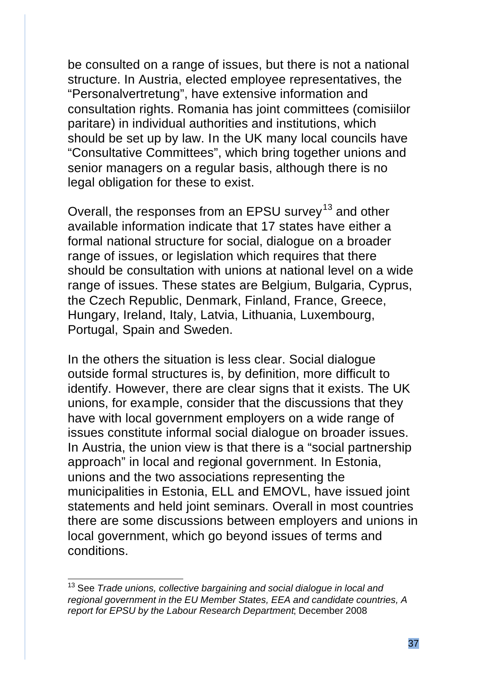be consulted on a range of issues, but there is not a national structure. In Austria, elected employee representatives, the "Personalvertretung", have extensive information and consultation rights. Romania has joint committees (comisiilor paritare) in individual authorities and institutions, which should be set up by law. In the UK many local councils have "Consultative Committees", which bring together unions and senior managers on a regular basis, although there is no legal obligation for these to exist.

Overall, the responses from an EPSU survey<sup>13</sup> and other available information indicate that 17 states have either a formal national structure for social, dialogue on a broader range of issues, or legislation which requires that there should be consultation with unions at national level on a wide range of issues. These states are Belgium, Bulgaria, Cyprus, the Czech Republic, Denmark, Finland, France, Greece, Hungary, Ireland, Italy, Latvia, Lithuania, Luxembourg, Portugal, Spain and Sweden.

In the others the situation is less clear. Social dialogue outside formal structures is, by definition, more difficult to identify. However, there are clear signs that it exists. The UK unions, for example, consider that the discussions that they have with local government employers on a wide range of issues constitute informal social dialogue on broader issues. In Austria, the union view is that there is a "social partnership approach" in local and regional government. In Estonia, unions and the two associations representing the municipalities in Estonia, ELL and EMOVL, have issued joint statements and held joint seminars. Overall in most countries there are some discussions between employers and unions in local government, which go beyond issues of terms and conditions.

j

<sup>13</sup> See *Trade unions, collective bargaining and social dialogue in local and regional government in the EU Member States, EEA and candidate countries, A report for EPSU by the Labour Research Department*; December 2008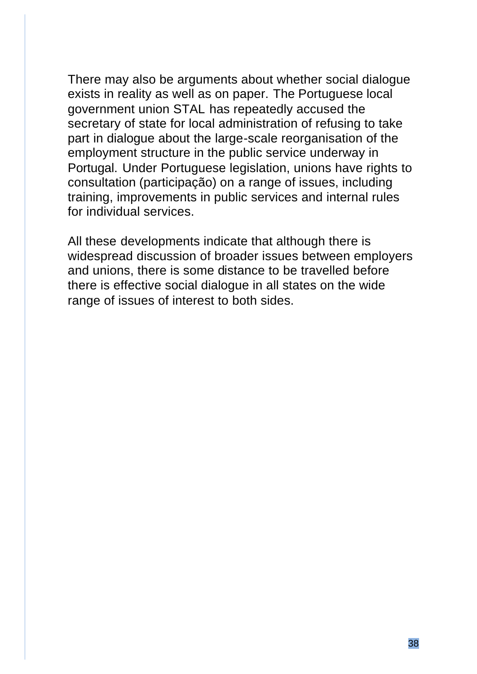There may also be arguments about whether social dialogue exists in reality as well as on paper. The Portuguese local government union STAL has repeatedly accused the secretary of state for local administration of refusing to take part in dialogue about the large-scale reorganisation of the employment structure in the public service underway in Portugal. Under Portuguese legislation, unions have rights to consultation (participação) on a range of issues, including training, improvements in public services and internal rules for individual services.

All these developments indicate that although there is widespread discussion of broader issues between employers and unions, there is some distance to be travelled before there is effective social dialogue in all states on the wide range of issues of interest to both sides.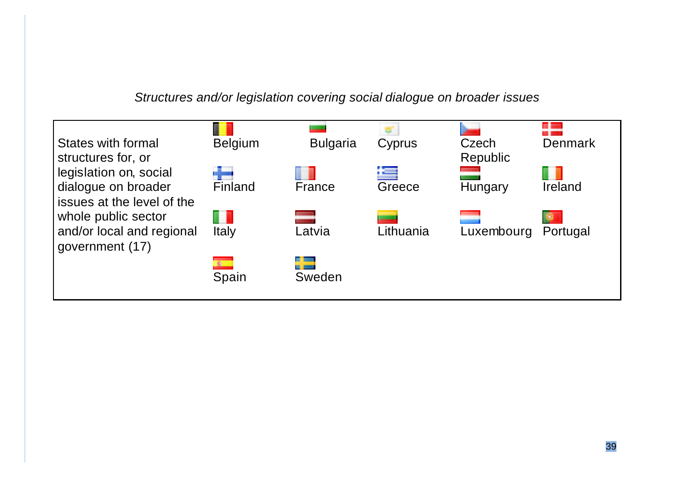#### *Structures and/or legislation covering social dialogue on broader issues*

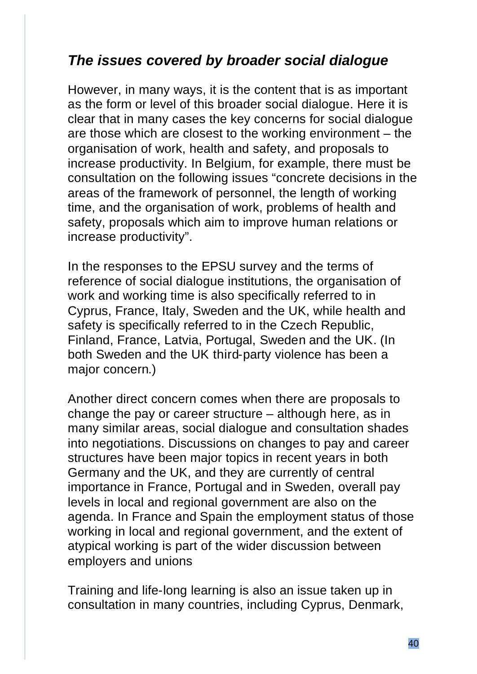### *The issues covered by broader social dialogue*

However, in many ways, it is the content that is as important as the form or level of this broader social dialogue. Here it is clear that in many cases the key concerns for social dialogue are those which are closest to the working environment – the organisation of work, health and safety, and proposals to increase productivity. In Belgium, for example, there must be consultation on the following issues "concrete decisions in the areas of the framework of personnel, the length of working time, and the organisation of work, problems of health and safety, proposals which aim to improve human relations or increase productivity".

In the responses to the EPSU survey and the terms of reference of social dialogue institutions, the organisation of work and working time is also specifically referred to in Cyprus, France, Italy, Sweden and the UK, while health and safety is specifically referred to in the Czech Republic, Finland, France, Latvia, Portugal, Sweden and the UK. (In both Sweden and the UK third-party violence has been a major concern.)

Another direct concern comes when there are proposals to change the pay or career structure – although here, as in many similar areas, social dialogue and consultation shades into negotiations. Discussions on changes to pay and career structures have been major topics in recent years in both Germany and the UK, and they are currently of central importance in France, Portugal and in Sweden, overall pay levels in local and regional government are also on the agenda. In France and Spain the employment status of those working in local and regional government, and the extent of atypical working is part of the wider discussion between employers and unions

Training and life-long learning is also an issue taken up in consultation in many countries, including Cyprus, Denmark,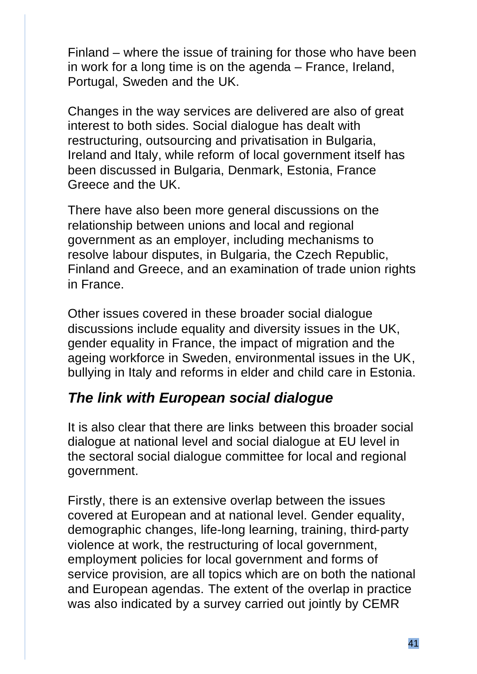Finland – where the issue of training for those who have been in work for a long time is on the agenda – France, Ireland, Portugal, Sweden and the UK.

Changes in the way services are delivered are also of great interest to both sides. Social dialogue has dealt with restructuring, outsourcing and privatisation in Bulgaria, Ireland and Italy, while reform of local government itself has been discussed in Bulgaria, Denmark, Estonia, France Greece and the UK.

There have also been more general discussions on the relationship between unions and local and regional government as an employer, including mechanisms to resolve labour disputes, in Bulgaria, the Czech Republic, Finland and Greece, and an examination of trade union rights in France.

Other issues covered in these broader social dialogue discussions include equality and diversity issues in the UK, gender equality in France, the impact of migration and the ageing workforce in Sweden, environmental issues in the UK, bullying in Italy and reforms in elder and child care in Estonia.

#### *The link with European social dialogue*

It is also clear that there are links between this broader social dialogue at national level and social dialogue at EU level in the sectoral social dialogue committee for local and regional government.

Firstly, there is an extensive overlap between the issues covered at European and at national level. Gender equality, demographic changes, life-long learning, training, third-party violence at work, the restructuring of local government, employment policies for local government and forms of service provision, are all topics which are on both the national and European agendas. The extent of the overlap in practice was also indicated by a survey carried out jointly by CEMR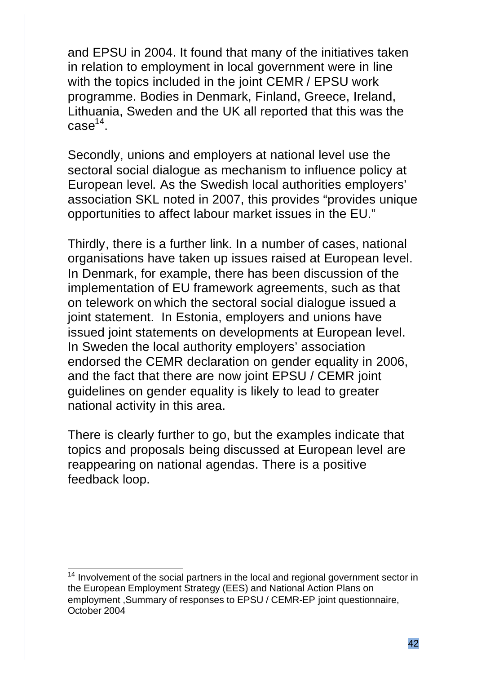and EPSU in 2004. It found that many of the initiatives taken in relation to employment in local government were in line with the topics included in the joint CEMR / EPSU work programme. Bodies in Denmark, Finland, Greece, Ireland, Lithuania, Sweden and the UK all reported that this was the  $\sf{case}^{\sf{14}}.$ 

Secondly, unions and employers at national level use the sectoral social dialogue as mechanism to influence policy at European level. As the Swedish local authorities employers' association SKL noted in 2007, this provides "provides unique opportunities to affect labour market issues in the EU."

Thirdly, there is a further link. In a number of cases, national organisations have taken up issues raised at European level. In Denmark, for example, there has been discussion of the implementation of EU framework agreements, such as that on telework on which the sectoral social dialogue issued a joint statement. In Estonia, employers and unions have issued joint statements on developments at European level. In Sweden the local authority employers' association endorsed the CEMR declaration on gender equality in 2006, and the fact that there are now joint EPSU / CEMR joint guidelines on gender equality is likely to lead to greater national activity in this area.

There is clearly further to go, but the examples indicate that topics and proposals being discussed at European level are reappearing on national agendas. There is a positive feedback loop.

j <sup>14</sup> Involvement of the social partners in the local and regional government sector in the European Employment Strategy (EES) and National Action Plans on employment ,Summary of responses to EPSU / CEMR-EP joint questionnaire, October 2004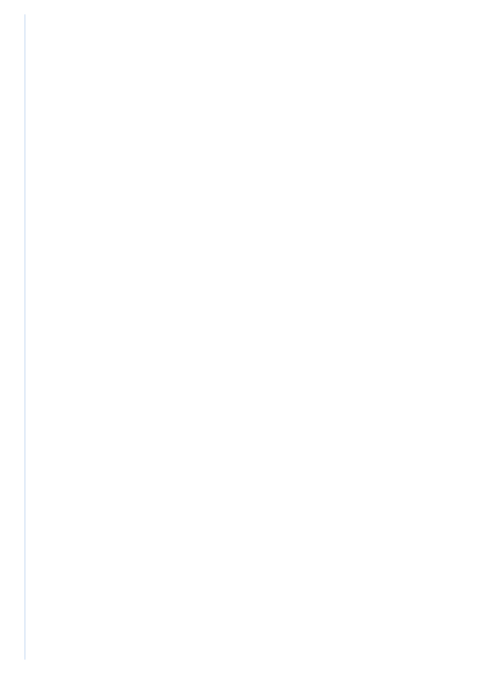